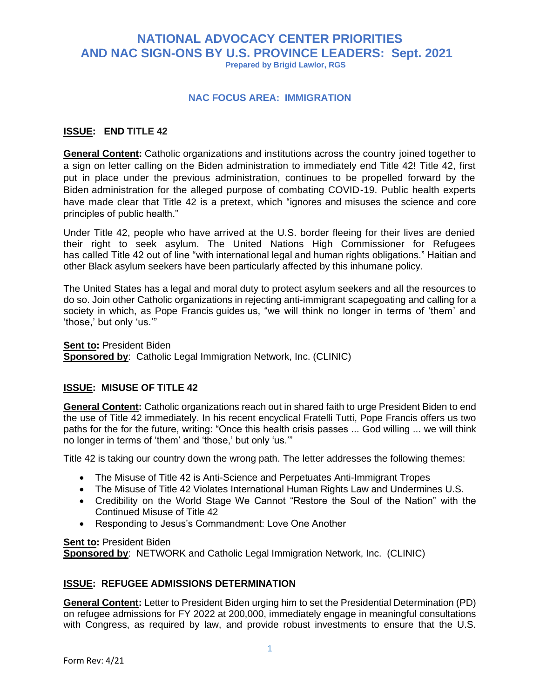## **NATIONAL ADVOCACY CENTER PRIORITIES AND NAC SIGN-ONS BY U.S. PROVINCE LEADERS: Sept. 2021 Prepared by Brigid Lawlor, RGS**

#### **NAC FOCUS AREA: IMMIGRATION**

#### **ISSUE: END TITLE 42**

**General Content:** Catholic organizations and institutions across the country joined together to a sign on letter calling on the Biden administration to immediately end Title 42! Title 42, first put in place under the previous administration, continues to be propelled forward by the Biden administration for the alleged purpose of combating COVID-19. Public health experts have made clear that Title 42 is a [pretext,](https://www.publichealth.columbia.edu/public-health-now/news/public-health-experts-urge-us-officials-withdraw-proposed-rule-would-bar-refugees-asylum-and-and) which "ignores and misuses the science and core principles of public health."

Under Title 42, people who have arrived at the U.S. border fleeing for their lives are denied their right to seek asylum. The United Nations High Commissioner for Refugees has [called](https://www.unhcr.org/en-us/news/press/2021/5/60a687764/statement-attributable-un-high-commissioner-refugees-filippo-grandi-need.html) Title 42 out of line "with international legal and human rights obligations." Haitian and other Black asylum seekers have been particularly affected by this inhumane policy.

The United States has a legal and moral duty to protect asylum seekers and all the resources to do so. Join other Catholic organizations in rejecting anti-immigrant scapegoating and calling for a society in which, as Pope Francis [guides](https://www.vatican.va/content/francesco/en/encyclicals/documents/papa-francesco_20201003_enciclica-fratelli-tutti.html) us, "we will think no longer in terms of 'them' and 'those,' but only 'us.'"

**Sent to:** President Biden **Sponsored by**: Catholic Legal Immigration Network, Inc. (CLINIC)

#### **ISSUE: MISUSE OF TITLE 42**

**General Content:** Catholic organizations reach out in shared faith to urge President Biden to end the use of Title 42 immediately. In his recent encyclical Fratelli Tutti, Pope Francis offers us two paths for the for the future, writing: "Once this health crisis passes ... God willing ... we will think no longer in terms of 'them' and 'those,' but only 'us.'"

Title 42 is taking our country down the wrong path. The letter addresses the following themes:

- The Misuse of Title 42 is Anti-Science and Perpetuates Anti-Immigrant Tropes
- The Misuse of Title 42 Violates International Human Rights Law and Undermines U.S.
- Credibility on the World Stage We Cannot "Restore the Soul of the Nation" with the Continued Misuse of Title 42
- Responding to Jesus's Commandment: Love One Another

**Sent to: President Biden** 

**Sponsored by**: NETWORK and Catholic Legal Immigration Network, Inc. (CLINIC)

#### **ISSUE: REFUGEE ADMISSIONS DETERMINATION**

**General Content:** Letter to President Biden urging him to set the Presidential Determination (PD) on refugee admissions for FY 2022 at 200,000, immediately engage in meaningful consultations with Congress, as required by law, and provide robust investments to ensure that the U.S.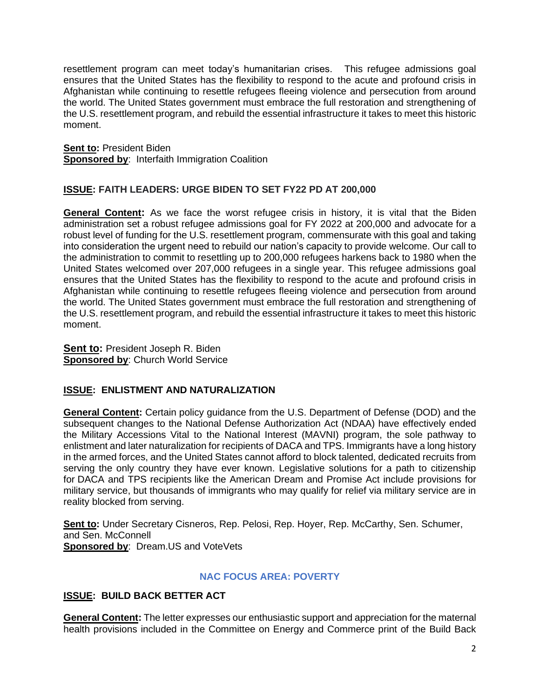resettlement program can meet today's humanitarian crises. This refugee admissions goal ensures that the United States has the flexibility to respond to the acute and profound crisis in Afghanistan while continuing to resettle refugees fleeing violence and persecution from around the world. The United States government must embrace the full restoration and strengthening of the U.S. resettlement program, and rebuild the essential infrastructure it takes to meet this historic moment.

**Sent to:** President Biden **Sponsored by: Interfaith Immigration Coalition** 

### **ISSUE: FAITH LEADERS: URGE BIDEN TO SET FY22 PD AT 200,000**

**General Content:** As we face the worst refugee crisis in history, it is vital that the Biden administration set a robust refugee admissions goal for FY 2022 at 200,000 and advocate for a robust level of funding for the U.S. resettlement program, commensurate with this goal and taking into consideration the urgent need to rebuild our nation's capacity to provide welcome. Our call to the administration to commit to resettling up to 200,000 refugees harkens back to 1980 when the [United States welcomed](https://www.wrapsnet.org/documents/Refugee%20Admissions%20by%20Region%20since%201975%20as%20of%2010-5-20.pdf) over 207,000 refugees in a single year. This refugee admissions goal ensures that the United States has the flexibility to respond to the acute and profound crisis in Afghanistan while continuing to resettle refugees fleeing violence and persecution from around the world. The United States government must embrace the full restoration and strengthening of the U.S. resettlement program, and rebuild the essential infrastructure it takes to meet this historic moment.

**Sent to: President Joseph R. Biden Sponsored by**: Church World Service

#### **ISSUE: ENLISTMENT AND NATURALIZATION**

**General Content:** Certain policy guidance from the U.S. Department of Defense (DOD) and the subsequent changes to the National Defense Authorization Act (NDAA) have effectively ended the Military Accessions Vital to the National Interest (MAVNI) program, the sole pathway to enlistment and later naturalization for recipients of DACA and TPS. Immigrants have a long history in the armed forces, and the United States cannot afford to block talented, dedicated recruits from serving the only country they have ever known. Legislative solutions for a path to citizenship for DACA and TPS recipients like the American Dream and Promise Act include provisions for military service, but thousands of immigrants who may qualify for relief via military service are in reality blocked from serving.

**Sent to:** Under Secretary Cisneros, Rep. Pelosi, Rep. Hoyer, Rep. McCarthy, Sen. Schumer, and Sen. McConnell **Sponsored by**: Dream.US and VoteVets

#### **NAC FOCUS AREA: POVERTY**

#### **ISSUE: BUILD BACK BETTER ACT**

**General Content:** The letter expresses our enthusiastic support and appreciation for the maternal health provisions included in the Committee on Energy and Commerce print of the Build Back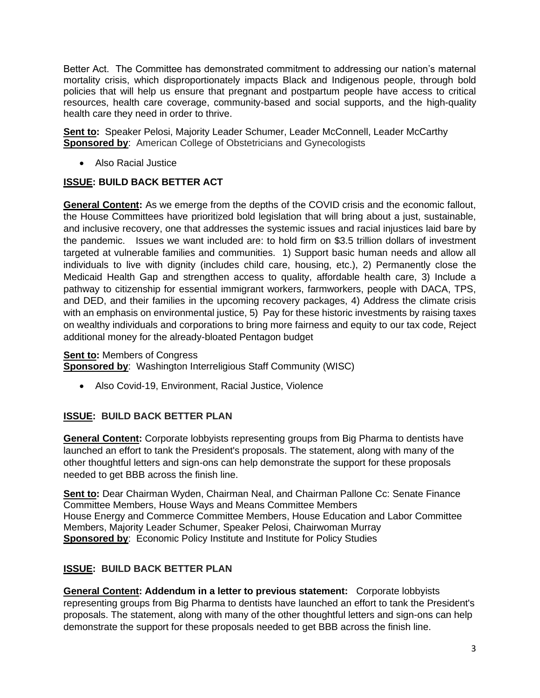Better Act. The Committee has demonstrated commitment to addressing our nation's maternal mortality crisis, which disproportionately impacts Black and Indigenous people, through bold policies that will help us ensure that pregnant and postpartum people have access to critical resources, health care coverage, community-based and social supports, and the high-quality health care they need in order to thrive.

**Sent to:** Speaker Pelosi, Majority Leader Schumer, Leader McConnell, Leader McCarthy **Sponsored by:** American College of Obstetricians and Gynecologists

• Also Racial Justice

## **ISSUE: BUILD BACK BETTER ACT**

**General Content:** As we emerge from the depths of the COVID crisis and the economic fallout, the House Committees have prioritized bold legislation that will bring about a just, sustainable, and inclusive recovery, one that addresses the systemic issues and racial injustices laid bare by the pandemic. Issues we want included are: to hold firm on \$3.5 trillion dollars of investment targeted at vulnerable families and communities. 1) Support basic human needs and allow all individuals to live with dignity (includes child care, housing, etc.), 2) Permanently close the Medicaid Health Gap and strengthen access to quality, affordable health care, 3) Include a pathway to citizenship for essential immigrant workers, farmworkers, people with DACA, TPS, and DED, and their families in the upcoming recovery packages, 4) Address the climate crisis with an emphasis on environmental justice, 5) Pay for these historic investments by raising taxes on wealthy individuals and corporations to bring more fairness and equity to our tax code, Reject additional money for the already-bloated Pentagon budget

#### **Sent to: Members of Congress**

**Sponsored by:** Washington Interreligious Staff Community (WISC)

• Also Covid-19, Environment, Racial Justice, Violence

## **ISSUE: BUILD BACK BETTER PLAN**

**General Content:** Corporate lobbyists representing groups from Big Pharma to dentists have launched [an effort to tank the President's proposals.](https://www.washingtonpost.com/us-policy/2021/08/31/business-lobbying-democrats-reconciliation/) The statement, along with many of the other thoughtful letters and sign-ons can help demonstrate the support for these proposals needed to get BBB across the finish line.

**Sent to:** Dear Chairman Wyden, Chairman Neal, and Chairman Pallone Cc: Senate Finance Committee Members, House Ways and Means Committee Members House Energy and Commerce Committee Members, House Education and Labor Committee Members, Majority Leader Schumer, Speaker Pelosi, Chairwoman Murray **Sponsored by: Economic Policy Institute and Institute for Policy Studies** 

## **ISSUE: BUILD BACK BETTER PLAN**

**General Content: Addendum in a letter to previous statement:** Corporate lobbyists representing groups from Big Pharma to dentists have launched [an effort to tank the President's](https://www.washingtonpost.com/us-policy/2021/08/31/business-lobbying-democrats-reconciliation/)  [proposals.](https://www.washingtonpost.com/us-policy/2021/08/31/business-lobbying-democrats-reconciliation/) The statement, along with many of the other thoughtful letters and sign-ons can help demonstrate the support for these proposals needed to get BBB across the finish line.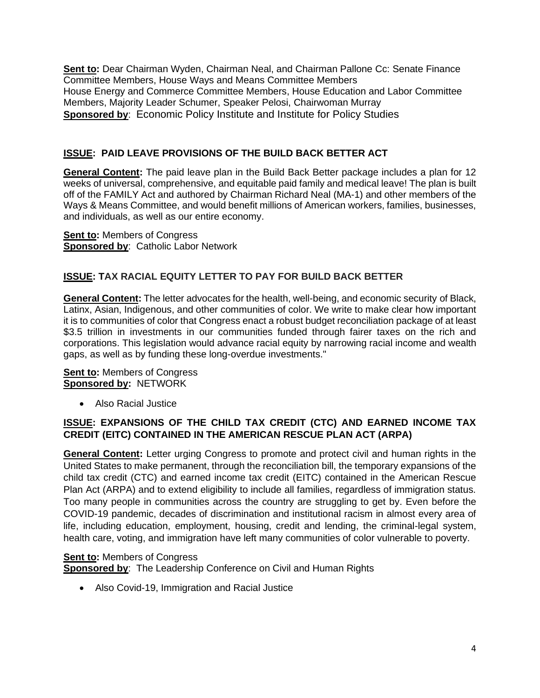**Sent to:** Dear Chairman Wyden, Chairman Neal, and Chairman Pallone Cc: Senate Finance Committee Members, House Ways and Means Committee Members House Energy and Commerce Committee Members, House Education and Labor Committee Members, Majority Leader Schumer, Speaker Pelosi, Chairwoman Murray **Sponsored by**: Economic Policy Institute and Institute for Policy Studies

## **ISSUE: PAID LEAVE PROVISIONS OF THE BUILD BACK BETTER ACT**

**General Content:** The paid leave plan in the Build Back Better package includes a plan for 12 weeks of universal, comprehensive, and equitable paid family and medical leave! The plan is built off of the FAMILY Act and authored by Chairman Richard Neal (MA-1) and other members of the Ways & Means Committee, and would benefit millions of American workers, families, businesses, and individuals, as well as our entire economy.

**Sent to:** Members of Congress **Sponsored by**: Catholic Labor Network

## **ISSUE: TAX RACIAL EQUITY LETTER TO PAY FOR BUILD BACK BETTER**

**General Content:** The letter advocates for the health, well-being, and economic security of Black, Latinx, Asian, Indigenous, and other communities of color. We write to make clear how important it is to communities of color that Congress enact a robust budget reconciliation package of at least \$3.5 trillion in investments in our communities funded through fairer taxes on the rich and corporations. This legislation would advance racial equity by narrowing racial income and wealth gaps, as well as by funding these long-overdue investments."

#### **Sent to: Members of Congress Sponsored by:** NETWORK

• Also Racial Justice

### **ISSUE: EXPANSIONS OF THE CHILD TAX CREDIT (CTC) AND EARNED INCOME TAX CREDIT (EITC) CONTAINED IN THE AMERICAN RESCUE PLAN ACT (ARPA)**

**General Content:** Letter urging Congress to promote and protect civil and human rights in the United States to make permanent, through the reconciliation bill, the temporary expansions of the child tax credit (CTC) and earned income tax credit (EITC) contained in the American Rescue Plan Act (ARPA) and to extend eligibility to include all families, regardless of immigration status. Too many people in communities across the country are struggling to get by. Even before the COVID-19 pandemic, decades of discrimination and institutional racism in almost every area of life, including education, employment, housing, credit and lending, the criminal-legal system, health care, voting, and immigration have left many communities of color vulnerable to poverty.

#### **Sent to: Members of Congress Sponsored by**: The Leadership Conference on Civil and Human Rights

• Also Covid-19, Immigration and Racial Justice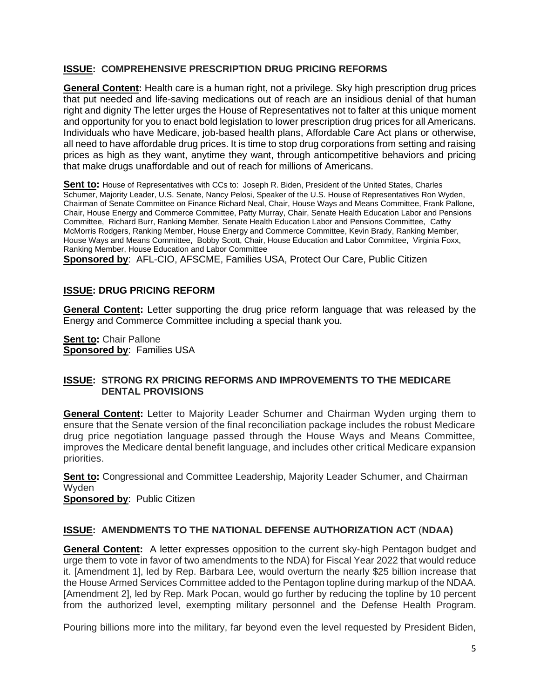#### **ISSUE: COMPREHENSIVE PRESCRIPTION DRUG PRICING REFORMS**

**General Content:** Health care is a human right, not a privilege. Sky high prescription drug prices that put needed and life-saving medications out of reach are an insidious denial of that human right and dignity The letter urges the House of Representatives not to falter at this unique moment and opportunity for you to enact bold legislation to lower prescription drug prices for all Americans. Individuals who have Medicare, job-based health plans, Affordable Care Act plans or otherwise, all need to have affordable drug prices. It is time to stop drug corporations from setting and raising prices as high as they want, anytime they want, through anticompetitive behaviors and pricing that make drugs unaffordable and out of reach for millions of Americans.

**Sent to:** House of Representatives with CCs to: Joseph R. Biden, President of the United States, Charles Schumer, Majority Leader, U.S. Senate, Nancy Pelosi, Speaker of the U.S. House of Representatives Ron Wyden, Chairman of Senate Committee on Finance Richard Neal, Chair, House Ways and Means Committee, Frank Pallone, Chair, House Energy and Commerce Committee, Patty Murray, Chair, Senate Health Education Labor and Pensions Committee, Richard Burr, Ranking Member, Senate Health Education Labor and Pensions Committee, Cathy McMorris Rodgers, Ranking Member, House Energy and Commerce Committee, Kevin Brady, Ranking Member, House Ways and Means Committee, Bobby Scott, Chair, House Education and Labor Committee, Virginia Foxx, Ranking Member, House Education and Labor Committee

**Sponsored by**: AFL-CIO, AFSCME, Families USA, Protect Our Care, Public Citizen

## **ISSUE: DRUG PRICING REFORM**

**General Content:** Letter supporting the drug price reform language that was released by the Energy and Commerce Committee including a special thank you.

**Sent to: Chair Pallone Sponsored by**: Families USA

#### **ISSUE: STRONG RX PRICING REFORMS AND IMPROVEMENTS TO THE MEDICARE DENTAL PROVISIONS**

**General Content:** Letter to Majority Leader Schumer and Chairman Wyden urging them to ensure that the Senate version of the final reconciliation package includes the robust Medicare drug price negotiation language passed through the House Ways and Means Committee, improves the Medicare dental benefit language, and includes other critical Medicare expansion priorities.

**Sent to:** Congressional and Committee Leadership, Majority Leader Schumer, and Chairman Wyden

**Sponsored by: Public Citizen** 

#### **ISSUE: AMENDMENTS TO THE NATIONAL DEFENSE AUTHORIZATION ACT** (**NDAA)**

**General Content:** A letter expresses opposition to the current sky-high Pentagon budget and urge them to vote in favor of two amendments to the NDA) for Fiscal Year 2022 that would reduce it. [Amendment 1], led by Rep. Barbara Lee, would overturn the nearly \$25 billion increase that the House Armed Services Committee added to the Pentagon topline during markup of the NDAA. [Amendment 2], led by Rep. Mark Pocan, would go further by reducing the topline by 10 percent from the authorized level, exempting military personnel and the Defense Health Program.

Pouring billions more into the military, far beyond even the level requested by President Biden,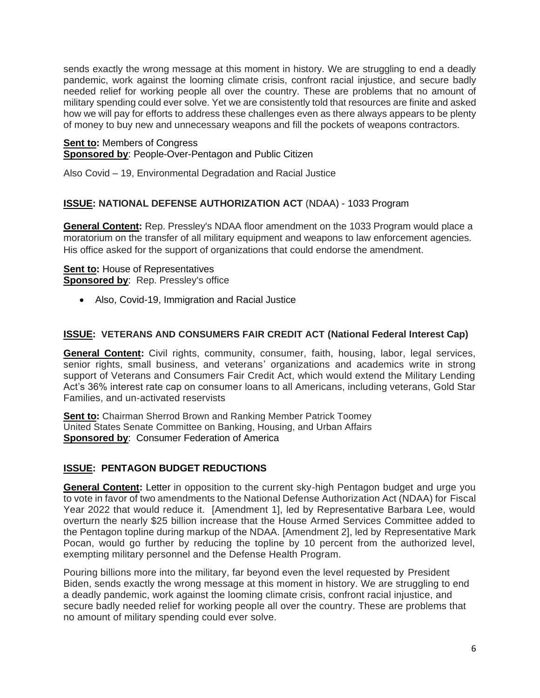sends exactly the wrong message at this moment in history. We are struggling to end a deadly pandemic, work against the looming climate crisis, confront racial injustice, and secure badly needed relief for working people all over the country. These are problems that no amount of military spending could ever solve. Yet we are consistently told that resources are finite and asked how we will pay for efforts to address these challenges even as there always appears to be plenty of money to buy new and unnecessary weapons and fill the pockets of weapons contractors.

#### **Sent to:** Members of Congress **Sponsored by**: People-Over-Pentagon and Public Citizen

Also Covid – 19, Environmental Degradation and Racial Justice

## **ISSUE: NATIONAL DEFENSE AUTHORIZATION ACT** (NDAA) - 1033 Program

**General Content:** Rep. Pressley's NDAA floor amendment on the 1033 Program would place a moratorium on the transfer of all military equipment and weapons to law enforcement agencies. His office asked for the support of organizations that could endorse the amendment.

#### **Sent to:** House of Representatives **Sponsored by:** Rep. Pressley's office

• Also, Covid-19, Immigration and Racial Justice

### **ISSUE: VETERANS AND CONSUMERS FAIR CREDIT ACT (National Federal Interest Cap)**

**General Content:** Civil rights, community, consumer, faith, housing, labor, legal services, senior rights, small business, and veterans' organizations and academics write in strong support of Veterans and Consumers Fair Credit Act, which would extend the Military Lending Act's 36% interest rate cap on consumer loans to all Americans, including veterans, Gold Star Families, and un-activated reservists

**Sent to:** Chairman Sherrod Brown and Ranking Member Patrick Toomey United States Senate Committee on Banking, Housing, and Urban Affairs **Sponsored by**: Consumer Federation of America

## **ISSUE: PENTAGON BUDGET REDUCTIONS**

**General Content:** Letter in opposition to the current sky-high Pentagon budget and urge you to vote in favor of two amendments to the National Defense Authorization Act (NDAA) for Fiscal Year 2022 that would reduce it. [Amendment 1], led by Representative Barbara Lee, would overturn the nearly \$25 billion increase that the House Armed Services Committee added to the Pentagon topline during markup of the NDAA. [Amendment 2], led by Representative Mark Pocan, would go further by reducing the topline by 10 percent from the authorized level, exempting military personnel and the Defense Health Program.

Pouring billions more into the military, far beyond even the level requested by President Biden, sends exactly the wrong message at this moment in history. We are struggling to end a deadly pandemic, work against the looming climate crisis, confront racial injustice, and secure badly needed relief for working people all over the country. These are problems that no amount of military spending could ever solve.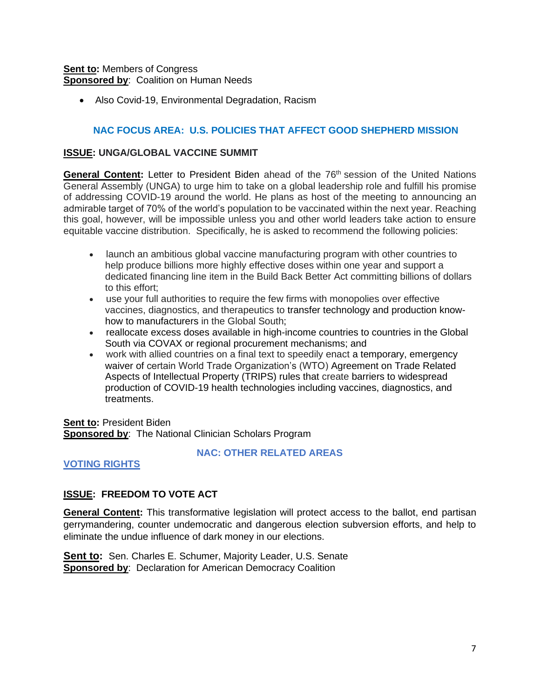#### **Sent to:** Members of Congress **Sponsored by**: Coalition on Human Needs

• Also Covid-19, Environmental Degradation, Racism

#### **NAC FOCUS AREA: U.S. POLICIES THAT AFFECT GOOD SHEPHERD MISSION**

#### **ISSUE: UNGA/GLOBAL VACCINE SUMMIT**

General Content: Letter to President Biden ahead of the 76<sup>th</sup> session of the United Nations General Assembly (UNGA) to urge him to take on a global leadership role and fulfill his promise of addressing COVID-19 around the world. He plans as host of the meeting to announcing an admirable target of 70% of the world's population to be vaccinated within the next year. Reaching this goal, however, will be impossible unless you and other world leaders take action to ensure equitable vaccine distribution. Specifically, he is asked to recommend the following policies:

- launch an ambitious global vaccine manufacturing program with other countries to help produce billions more highly effective doses within one year and support a dedicated financing line item in the Build Back Better Act committing billions of dollars to this effort;
- use your full authorities to require the few firms with monopolies over effective vaccines, diagnostics, and therapeutics to transfer technology and production knowhow to manufacturers in the Global South;
- reallocate excess doses available in high-income countries to countries in the Global South via COVAX or regional procurement mechanisms; and
- work with allied countries on a final text to speedily enact a temporary, emergency waiver of certain World Trade Organization's (WTO) Agreement on Trade Related Aspects of Intellectual Property (TRIPS) rules that create barriers to widespread production of COVID-19 health technologies including vaccines, diagnostics, and treatments.

**Sent to:** President Biden **Sponsored by**: The National Clinician Scholars Program

#### **VOTING RIGHTS**

#### **NAC: OTHER RELATED AREAS**

## **ISSUE: FREEDOM TO VOTE ACT**

**General Content:** This transformative legislation will protect access to the ballot, end partisan gerrymandering, counter undemocratic and dangerous election subversion efforts, and help to eliminate the undue influence of dark money in our elections.

**Sent to:** Sen. Charles E. Schumer, Majority Leader, U.S. Senate **Sponsored by: Declaration for American Democracy Coalition**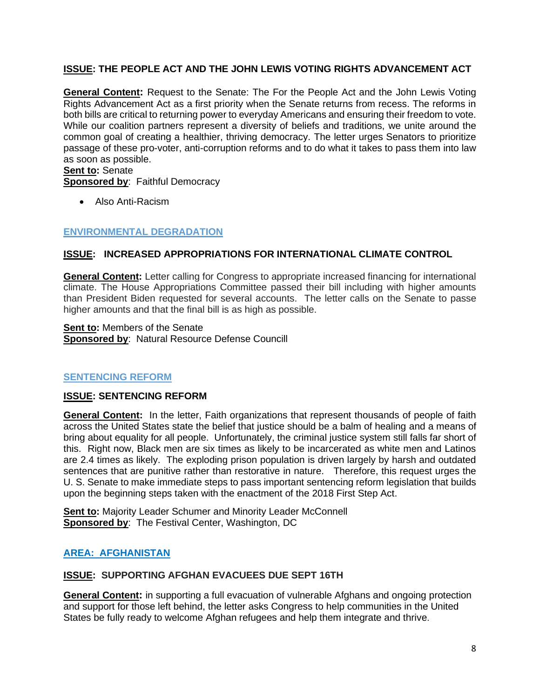### **ISSUE: THE PEOPLE ACT AND THE JOHN LEWIS VOTING RIGHTS ADVANCEMENT ACT**

**General Content:** Request to the Senate: The For the People Act and the John Lewis Voting Rights Advancement Act as a first priority when the Senate returns from recess. The reforms in both bills are critical to returning power to everyday Americans and ensuring their freedom to vote. While our coalition partners represent a diversity of beliefs and traditions, we unite around the common goal of creating a healthier, thriving democracy. The letter urges Senators to prioritize passage of these pro-voter, anti-corruption reforms and to do what it takes to pass them into law as soon as possible.

**Sent to:** Senate

**Sponsored by**: Faithful Democracy

• Also Anti-Racism

## **ENVIRONMENTAL DEGRADATION**

## **ISSUE: INCREASED APPROPRIATIONS FOR INTERNATIONAL CLIMATE CONTROL**

**General Content:** Letter calling for Congress to appropriate increased financing for international climate. The House Appropriations Committee passed their bill including with higher amounts than President Biden requested for several accounts. The letter calls on the Senate to passe higher amounts and that the final bill is as high as possible.

**Sent to:** Members of the Senate **Sponsored by: Natural Resource Defense Councill** 

## **SENTENCING REFORM**

## **ISSUE: SENTENCING REFORM**

**General Content:** In the letter, Faith organizations that represent thousands of people of faith across the United States state the belief that justice should be a balm of healing and a means of bring about equality for all people. Unfortunately, the criminal justice system still falls far short of this. Right now, Black men are six times as likely to be incarcerated as white men and Latinos are 2.4 times as likely. The exploding prison population is driven largely by harsh and outdated sentences that are punitive rather than restorative in nature. Therefore, this request urges the U. S. Senate to make immediate steps to pass important sentencing reform legislation that builds upon the beginning steps taken with the enactment of the 2018 First Step Act.

**Sent to: Majority Leader Schumer and Minority Leader McConnell Sponsored by**: The Festival Center, Washington, DC

## **AREA: AFGHANISTAN**

#### **ISSUE: SUPPORTING AFGHAN EVACUEES DUE SEPT 16TH**

**General Content:** in supporting a full evacuation of vulnerable Afghans and ongoing protection and support for those left behind, the letter asks Congress to help communities in the United States be fully ready to welcome Afghan refugees and help them integrate and thrive.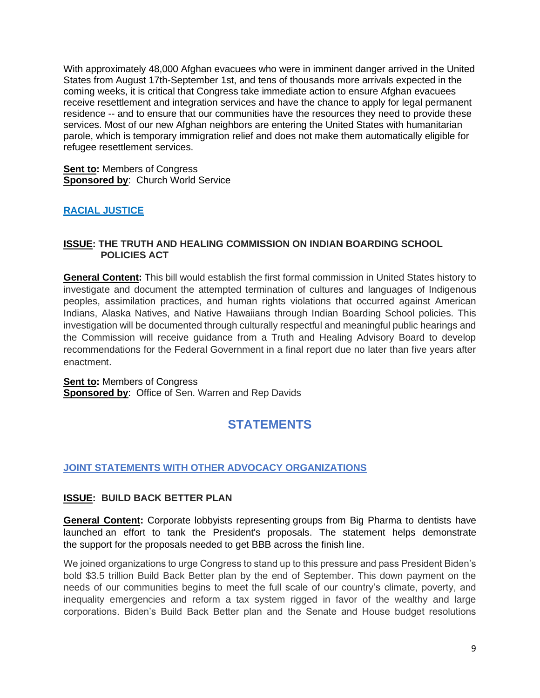With approximately [48,000 Afghan evacuees](https://www.cbsnews.com/news/afghanistan-unaccompanied-children-united-states/?utm_source=facebook&utm_medium=news_tab&utm_content=algorithm) who were in imminent danger arrived in the United States from August 17th-September 1st, and tens of thousands more arrivals expected in the coming weeks, it is critical that Congress take immediate action to ensure Afghan evacuees receive resettlement and integration services and have the chance to apply for legal permanent residence -- and to ensure that our communities have the resources they need to provide these services. Most of our new Afghan neighbors are entering the United States with humanitarian parole, which is temporary immigration relief and does not make them automatically eligible for refugee resettlement services.

**Sent to:** Members of Congress **Sponsored by**: Church World Service

## **RACIAL JUSTICE**

#### **ISSUE: THE TRUTH AND HEALING COMMISSION ON INDIAN BOARDING SCHOOL POLICIES ACT**

**General Content:** This bill would establish the first formal commission in United States history to investigate and document the attempted termination of cultures and languages of Indigenous peoples, assimilation practices, and human rights violations that occurred against American Indians, Alaska Natives, and Native Hawaiians through Indian Boarding School policies. This investigation will be documented through culturally respectful and meaningful public hearings and the Commission will receive guidance from a Truth and Healing Advisory Board to develop recommendations for the Federal Government in a final report due no later than five years after enactment.

**Sent to: Members of Congress Sponsored by: Office of Sen. Warren and Rep Davids** 

# **STATEMENTS**

## **JOINT STATEMENTS WITH OTHER ADVOCACY ORGANIZATIONS**

#### **ISSUE: BUILD BACK BETTER PLAN**

**General Content:** Corporate lobbyists representing groups from Big Pharma to dentists have launched [an effort to tank the President's proposals.](https://www.washingtonpost.com/us-policy/2021/08/31/business-lobbying-democrats-reconciliation/) The statement helps demonstrate the support for the proposals needed to get BBB across the finish line.

We joined organizations to urge Congress to stand up to this pressure and pass President Biden's bold \$3.5 trillion Build Back Better plan by the end of September. This down payment on the needs of our communities begins to meet the full scale of our country's climate, poverty, and inequality emergencies and reform a tax system rigged in favor of the wealthy and large corporations. Biden's Build Back Better plan and the Senate and House budget resolutions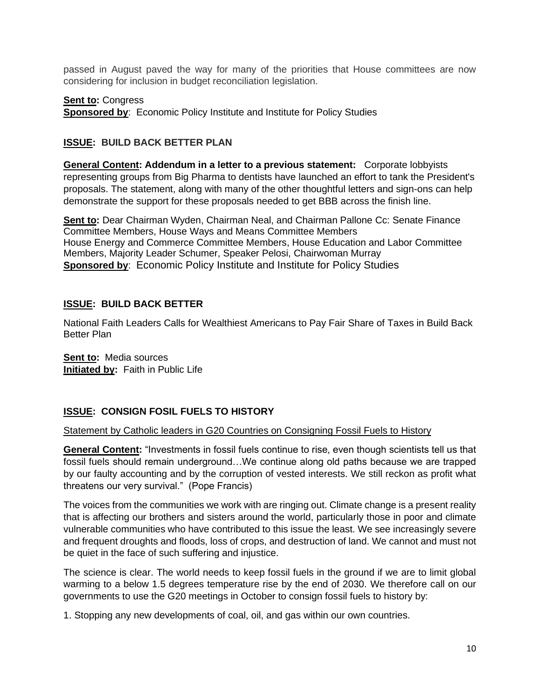passed in August paved the way for many of the priorities that House committees are now considering for inclusion in budget reconciliation legislation.

#### **Sent to: Congress**

**Sponsored by: Economic Policy Institute and Institute for Policy Studies** 

## **ISSUE: BUILD BACK BETTER PLAN**

**General Content: Addendum in a letter to a previous statement:** Corporate lobbyists representing groups from Big Pharma to dentists have launched [an effort to tank the President's](https://www.washingtonpost.com/us-policy/2021/08/31/business-lobbying-democrats-reconciliation/)  [proposals.](https://www.washingtonpost.com/us-policy/2021/08/31/business-lobbying-democrats-reconciliation/) The statement, along with many of the other thoughtful letters and sign-ons can help demonstrate the support for these proposals needed to get BBB across the finish line.

**Sent to:** Dear Chairman Wyden, Chairman Neal, and Chairman Pallone Cc: Senate Finance Committee Members, House Ways and Means Committee Members House Energy and Commerce Committee Members, House Education and Labor Committee Members, Majority Leader Schumer, Speaker Pelosi, Chairwoman Murray **Sponsored by:** Economic Policy Institute and Institute for Policy Studies

### **ISSUE: BUILD BACK BETTER**

National Faith Leaders Calls for Wealthiest Americans to Pay Fair Share of Taxes in Build Back Better Plan

**Sent to:** Media sources **Initiated by:** Faith in Public Life

## **ISSUE: CONSIGN FOSIL FUELS TO HISTORY**

#### Statement by Catholic leaders in G20 Countries on Consigning Fossil Fuels to History

**General Content:** "Investments in fossil fuels continue to rise, even though scientists tell us that fossil fuels should remain underground…We continue along old paths because we are trapped by our faulty accounting and by the corruption of vested interests. We still reckon as profit what threatens our very survival." (Pope Francis)

The voices from the communities we work with are ringing out. Climate change is a present reality that is affecting our brothers and sisters around the world, particularly those in poor and climate vulnerable communities who have contributed to this issue the least. We see increasingly severe and frequent droughts and floods, loss of crops, and destruction of land. We cannot and must not be quiet in the face of such suffering and injustice.

The science is clear. The world needs to keep fossil fuels in the ground if we are to limit global warming to a below 1.5 degrees temperature rise by the end of 2030. We therefore call on our governments to use the G20 meetings in October to consign fossil fuels to history by:

1. Stopping any new developments of coal, oil, and gas within our own countries.